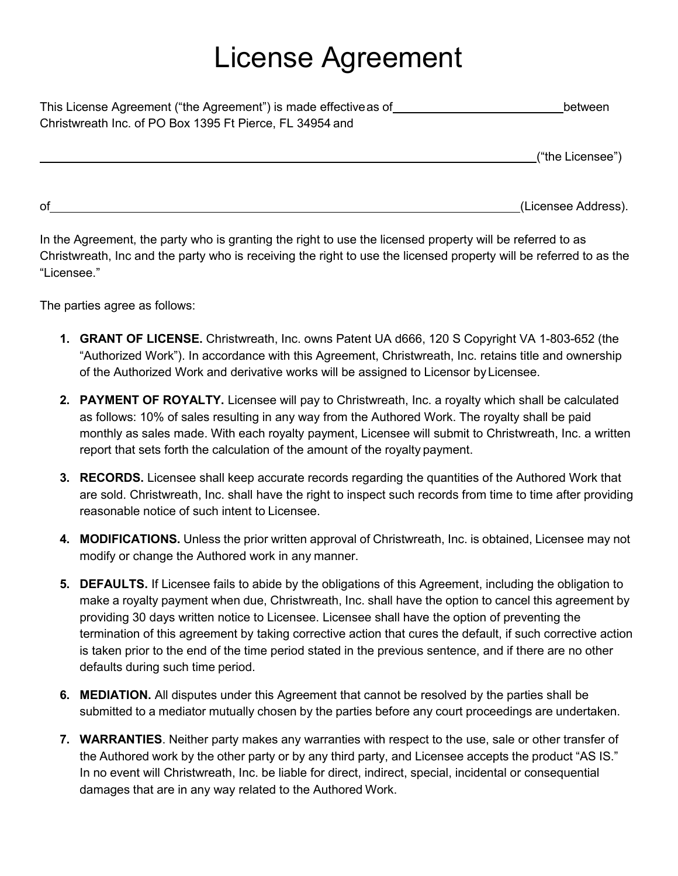## License Agreement

| This License Agreement ("the Agreement") is made effective as of_ | between |
|-------------------------------------------------------------------|---------|
| Christwreath Inc. of PO Box 1395 Ft Pierce, FL 34954 and          |         |

("the Licensee")

of (Licensee Address).

In the Agreement, the party who is granting the right to use the licensed property will be referred to as Christwreath, Inc and the party who is receiving the right to use the licensed property will be referred to as the "Licensee."

The parties agree as follows:

- **1. GRANT OF LICENSE.** Christwreath, Inc. owns Patent UA d666, 120 S Copyright VA 1-803-652 (the "Authorized Work"). In accordance with this Agreement, Christwreath, Inc. retains title and ownership of the Authorized Work and derivative works will be assigned to Licensor byLicensee.
- **2. PAYMENT OF ROYALTY.** Licensee will pay to Christwreath, Inc. a royalty which shall be calculated as follows: 10% of sales resulting in any way from the Authored Work. The royalty shall be paid monthly as sales made. With each royalty payment, Licensee will submit to Christwreath, Inc. a written report that sets forth the calculation of the amount of the royalty payment.
- **3. RECORDS.** Licensee shall keep accurate records regarding the quantities of the Authored Work that are sold. Christwreath, Inc. shall have the right to inspect such records from time to time after providing reasonable notice of such intent to Licensee.
- **4. MODIFICATIONS.** Unless the prior written approval of Christwreath, Inc. is obtained, Licensee may not modify or change the Authored work in any manner.
- **5. DEFAULTS.** If Licensee fails to abide by the obligations of this Agreement, including the obligation to make a royalty payment when due, Christwreath, Inc. shall have the option to cancel this agreement by providing 30 days written notice to Licensee. Licensee shall have the option of preventing the termination of this agreement by taking corrective action that cures the default, if such corrective action is taken prior to the end of the time period stated in the previous sentence, and if there are no other defaults during such time period.
- **6. MEDIATION.** All disputes under this Agreement that cannot be resolved by the parties shall be submitted to a mediator mutually chosen by the parties before any court proceedings are undertaken.
- **7. WARRANTIES**. Neither party makes any warranties with respect to the use, sale or other transfer of the Authored work by the other party or by any third party, and Licensee accepts the product "AS IS." In no event will Christwreath, Inc. be liable for direct, indirect, special, incidental or consequential damages that are in any way related to the Authored Work.